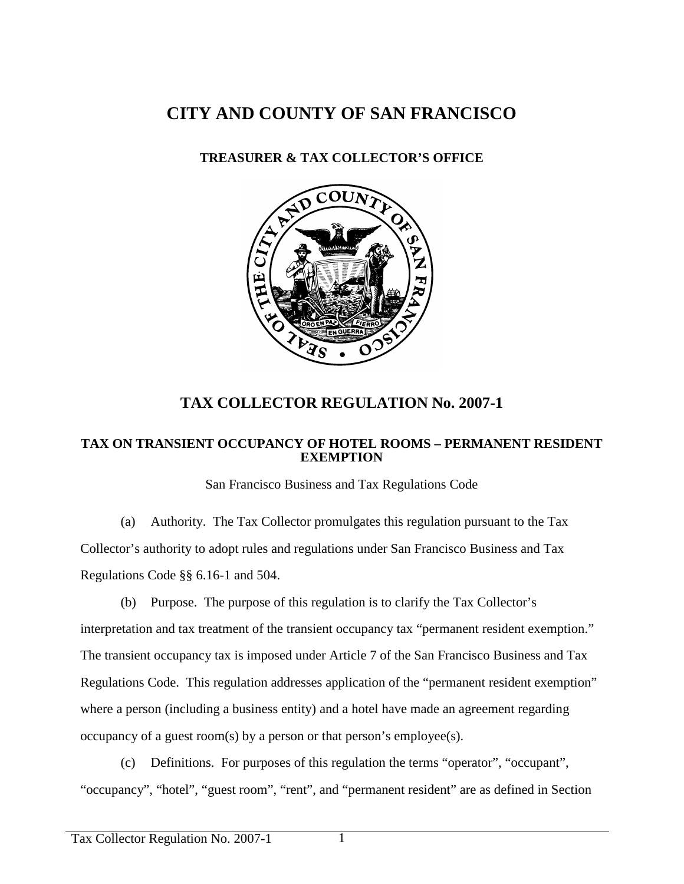## **CITY AND COUNTY OF SAN FRANCISCO**

## **TREASURER & TAX COLLECTOR'S OFFICE**



## **TAX COLLECTOR REGULATION No. 2007-1**

## **TAX ON TRANSIENT OCCUPANCY OF HOTEL ROOMS – PERMANENT RESIDENT EXEMPTION**

San Francisco Business and Tax Regulations Code

(a) Authority. The Tax Collector promulgates this regulation pursuant to the Tax Collector's authority to adopt rules and regulations under San Francisco Business and Tax Regulations Code §§ 6.16-1 and 504.

(b) Purpose. The purpose of this regulation is to clarify the Tax Collector's interpretation and tax treatment of the transient occupancy tax "permanent resident exemption." The transient occupancy tax is imposed under Article 7 of the San Francisco Business and Tax Regulations Code. This regulation addresses application of the "permanent resident exemption" where a person (including a business entity) and a hotel have made an agreement regarding occupancy of a guest room(s) by a person or that person's employee(s).

(c) Definitions. For purposes of this regulation the terms "operator", "occupant", "occupancy", "hotel", "guest room", "rent", and "permanent resident" are as defined in Section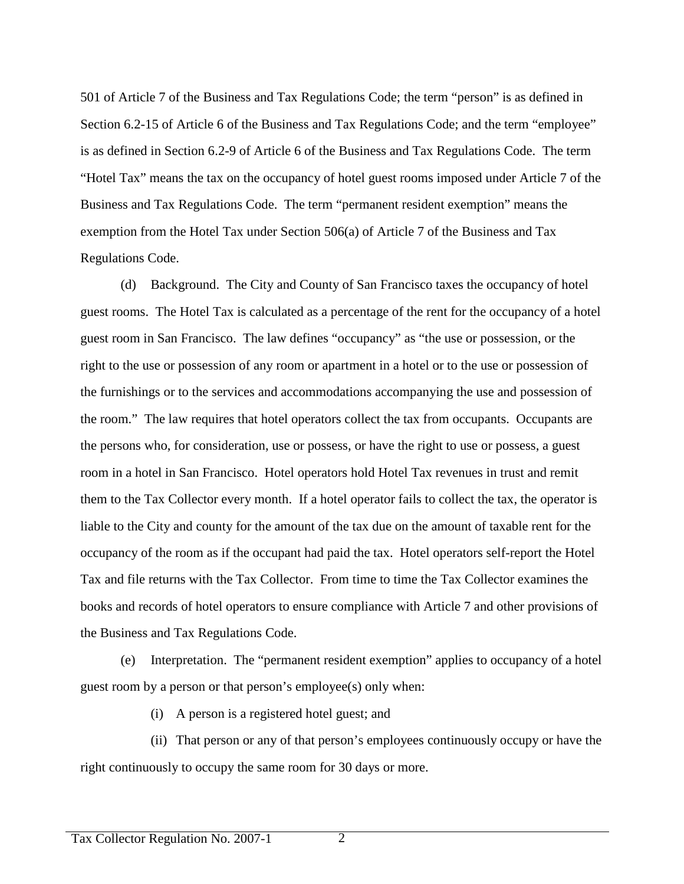501 of Article 7 of the Business and Tax Regulations Code; the term "person" is as defined in Section 6.2-15 of Article 6 of the Business and Tax Regulations Code; and the term "employee" is as defined in Section 6.2-9 of Article 6 of the Business and Tax Regulations Code. The term "Hotel Tax" means the tax on the occupancy of hotel guest rooms imposed under Article 7 of the Business and Tax Regulations Code. The term "permanent resident exemption" means the exemption from the Hotel Tax under Section 506(a) of Article 7 of the Business and Tax Regulations Code.

(d) Background. The City and County of San Francisco taxes the occupancy of hotel guest rooms. The Hotel Tax is calculated as a percentage of the rent for the occupancy of a hotel guest room in San Francisco. The law defines "occupancy" as "the use or possession, or the right to the use or possession of any room or apartment in a hotel or to the use or possession of the furnishings or to the services and accommodations accompanying the use and possession of the room." The law requires that hotel operators collect the tax from occupants. Occupants are the persons who, for consideration, use or possess, or have the right to use or possess, a guest room in a hotel in San Francisco. Hotel operators hold Hotel Tax revenues in trust and remit them to the Tax Collector every month. If a hotel operator fails to collect the tax, the operator is liable to the City and county for the amount of the tax due on the amount of taxable rent for the occupancy of the room as if the occupant had paid the tax. Hotel operators self-report the Hotel Tax and file returns with the Tax Collector. From time to time the Tax Collector examines the books and records of hotel operators to ensure compliance with Article 7 and other provisions of the Business and Tax Regulations Code.

(e) Interpretation. The "permanent resident exemption" applies to occupancy of a hotel guest room by a person or that person's employee(s) only when:

(i) A person is a registered hotel guest; and

(ii) That person or any of that person's employees continuously occupy or have the right continuously to occupy the same room for 30 days or more.